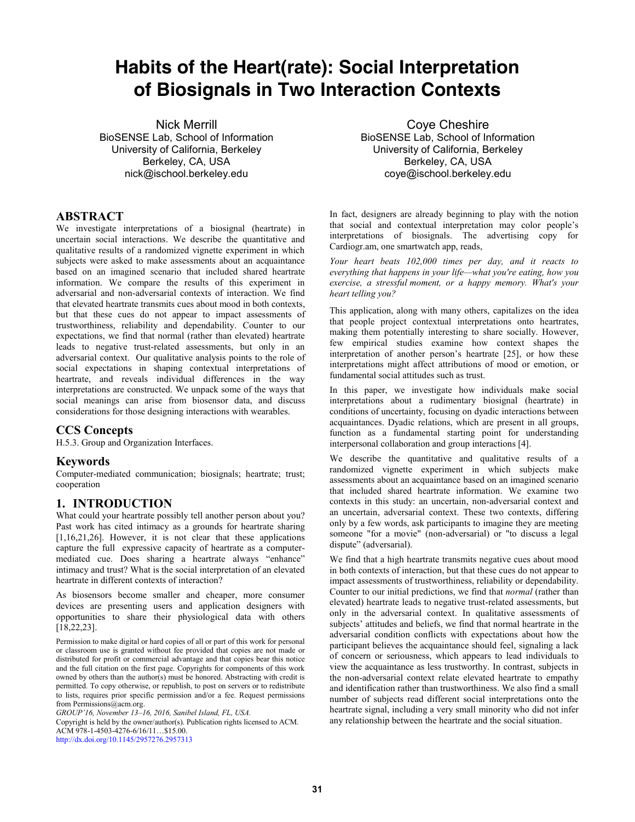# **Habits of the Heart(rate): Social Interpretation of Biosignals in Two Interaction Contexts**

Nick Merrill BioSENSE Lab, School of Information University of California, Berkeley Berkeley, CA, USA nick@ischool.berkeley.edu

# **ABSTRACT**

We investigate interpretations of a biosignal (heartrate) in uncertain social interactions. We describe the quantitative and qualitative results of a randomized vignette experiment in which subjects were asked to make assessments about an acquaintance based on an imagined scenario that included shared heartrate information. We compare the results of this experiment in adversarial and non-adversarial contexts of interaction. We find that elevated heartrate transmits cues about mood in both contexts, but that these cues do not appear to impact assessments of trustworthiness, reliability and dependability. Counter to our expectations, we find that normal (rather than elevated) heartrate leads to negative trust-related assessments, but only in an adversarial context. Our qualitative analysis points to the role of social expectations in shaping contextual interpretations of heartrate, and reveals individual differences in the way interpretations are constructed. We unpack some of the ways that social meanings can arise from biosensor data, and discuss considerations for those designing interactions with wearables.

### **CCS Concepts**

H.5.3. Group and Organization Interfaces.

#### **Keywords**

Computer-mediated communication; biosignals; heartrate; trust; cooperation

### **1. INTRODUCTION**

What could your heartrate possibly tell another person about you? Past work has cited intimacy as a grounds for heartrate sharing [1,16,21,26]. However, it is not clear that these applications capture the full expressive capacity of heartrate as a computermediated cue. Does sharing a heartrate always "enhance" intimacy and trust? What is the social interpretation of an elevated heartrate in different contexts of interaction?

As biosensors become smaller and cheaper, more consumer devices are presenting users and application designers with opportunities to share their physiological data with others [18,22,23].

Permission to make digital or hard copies of all or part of this work for personal or classroom use is granted without fee provided that copies are not made or distributed for profit or commercial advantage and that copies bear this notice and the full citation on the first page. Copyrights for components of this work owned by others than the author(s) must be honored. Abstracting with credit is permitted. To copy otherwise, or republish, to post on servers or to redistribute to lists, requires prior specific permission and/or a fee. Request permissions from Permissions@acm.org.

*GROUP'16, November 13–16, 2016, Sanibel Island, FL, USA.* 

Copyright is held by the owner/author(s). Publication rights licensed to ACM. ACM 978-1-4503-4276-6/16/11…\$15.00. <http://dx.doi.org/10.1145/2957276.2957313>

Coye Cheshire BioSENSE Lab, School of Information University of California, Berkeley Berkeley, CA, USA coye@ischool.berkeley.edu

In fact, designers are already beginning to play with the notion that social and contextual interpretation may color people's interpretations of biosignals. The advertising copy for Cardiogr.am, one smartwatch app, reads,

*Your heart beats 102,000 times per day, and it reacts to everything that happens in your life—what you're eating, how you exercise, a stressful moment, or a happy memory. What's your heart telling you?* 

This application, along with many others, capitalizes on the idea that people project contextual interpretations onto heartrates, making them potentially interesting to share socially. However, few empirical studies examine how context shapes the interpretation of another person's heartrate [25], or how these interpretations might affect attributions of mood or emotion, or fundamental social attitudes such as trust.

In this paper, we investigate how individuals make social interpretations about a rudimentary biosignal (heartrate) in conditions of uncertainty, focusing on dyadic interactions between acquaintances. Dyadic relations, which are present in all groups, function as a fundamental starting point for understanding interpersonal collaboration and group interactions [4].

We describe the quantitative and qualitative results of a randomized vignette experiment in which subjects make assessments about an acquaintance based on an imagined scenario that included shared heartrate information. We examine two contexts in this study: an uncertain, non-adversarial context and an uncertain, adversarial context. These two contexts, differing only by a few words, ask participants to imagine they are meeting someone "for a movie" (non-adversarial) or "to discuss a legal dispute" (adversarial).

We find that a high heartrate transmits negative cues about mood in both contexts of interaction, but that these cues do not appear to impact assessments of trustworthiness, reliability or dependability. Counter to our initial predictions, we find that *normal* (rather than elevated) heartrate leads to negative trust-related assessments, but only in the adversarial context. In qualitative assessments of subjects' attitudes and beliefs, we find that normal heartrate in the adversarial condition conflicts with expectations about how the participant believes the acquaintance should feel, signaling a lack of concern or seriousness, which appears to lead individuals to view the acquaintance as less trustworthy. In contrast, subjects in the non-adversarial context relate elevated heartrate to empathy and identification rather than trustworthiness. We also find a small number of subjects read different social interpretations onto the heartrate signal, including a very small minority who did not infer any relationship between the heartrate and the social situation.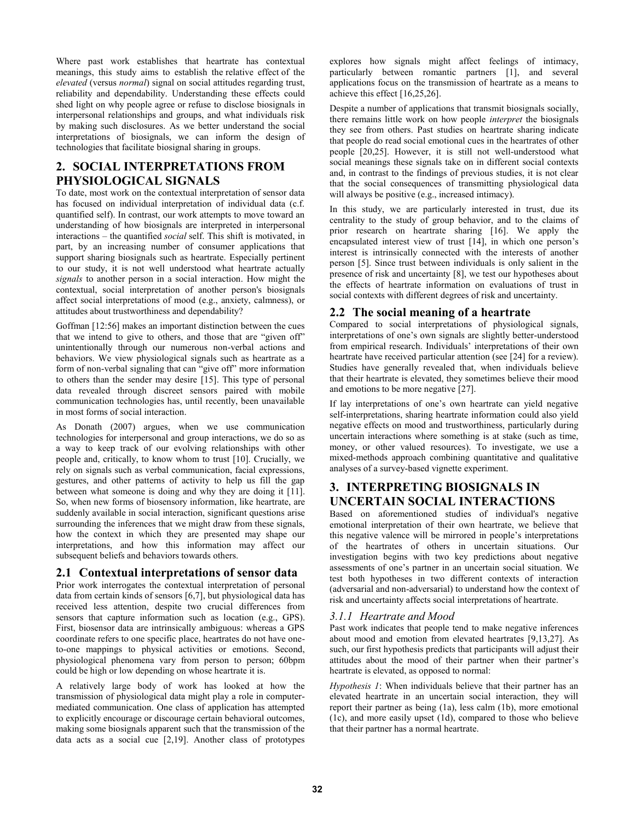Where past work establishes that heartrate has contextual meanings, this study aims to establish the relative effect of the *elevated* (versus *normal*) signal on social attitudes regarding trust, reliability and dependability. Understanding these effects could shed light on why people agree or refuse to disclose biosignals in interpersonal relationships and groups, and what individuals risk by making such disclosures. As we better understand the social interpretations of biosignals, we can inform the design of technologies that facilitate biosignal sharing in groups.

# **2. SOCIAL INTERPRETATIONS FROM PHYSIOLOGICAL SIGNALS**

To date, most work on the contextual interpretation of sensor data has focused on individual interpretation of individual data (c.f. quantified self). In contrast, our work attempts to move toward an understanding of how biosignals are interpreted in interpersonal interactions – the quantified *social* self. This shift is motivated, in part, by an increasing number of consumer applications that support sharing biosignals such as heartrate. Especially pertinent to our study, it is not well understood what heartrate actually *signals* to another person in a social interaction. How might the contextual, social interpretation of another person's biosignals affect social interpretations of mood (e.g., anxiety, calmness), or attitudes about trustworthiness and dependability?

Goffman [12:56] makes an important distinction between the cues that we intend to give to others, and those that are "given off" unintentionally through our numerous non-verbal actions and behaviors. We view physiological signals such as heartrate as a form of non-verbal signaling that can "give off" more information to others than the sender may desire [15]. This type of personal data revealed through discreet sensors paired with mobile communication technologies has, until recently, been unavailable in most forms of social interaction.

As Donath (2007) argues, when we use communication technologies for interpersonal and group interactions, we do so as a way to keep track of our evolving relationships with other people and, critically, to know whom to trust [10]. Crucially, we rely on signals such as verbal communication, facial expressions, gestures, and other patterns of activity to help us fill the gap between what someone is doing and why they are doing it [11]. So, when new forms of biosensory information, like heartrate, are suddenly available in social interaction, significant questions arise surrounding the inferences that we might draw from these signals, how the context in which they are presented may shape our interpretations, and how this information may affect our subsequent beliefs and behaviors towards others.

# **2.1 Contextual interpretations of sensor data**

Prior work interrogates the contextual interpretation of personal data from certain kinds of sensors [6,7], but physiological data has received less attention, despite two crucial differences from sensors that capture information such as location (e.g., GPS). First, biosensor data are intrinsically ambiguous: whereas a GPS coordinate refers to one specific place, heartrates do not have oneto-one mappings to physical activities or emotions. Second, physiological phenomena vary from person to person; 60bpm could be high or low depending on whose heartrate it is.

A relatively large body of work has looked at how the transmission of physiological data might play a role in computermediated communication. One class of application has attempted to explicitly encourage or discourage certain behavioral outcomes, making some biosignals apparent such that the transmission of the data acts as a social cue [2,19]. Another class of prototypes

explores how signals might affect feelings of intimacy, particularly between romantic partners [1], and several applications focus on the transmission of heartrate as a means to achieve this effect [16,25,26].

Despite a number of applications that transmit biosignals socially, there remains little work on how people *interpret* the biosignals they see from others. Past studies on heartrate sharing indicate that people do read social emotional cues in the heartrates of other people [20,25]. However, it is still not well-understood what social meanings these signals take on in different social contexts and, in contrast to the findings of previous studies, it is not clear that the social consequences of transmitting physiological data will always be positive (e.g., increased intimacy).

In this study, we are particularly interested in trust, due its centrality to the study of group behavior, and to the claims of prior research on heartrate sharing [16]. We apply the encapsulated interest view of trust [14], in which one person's interest is intrinsically connected with the interests of another person [5]. Since trust between individuals is only salient in the presence of risk and uncertainty [8], we test our hypotheses about the effects of heartrate information on evaluations of trust in social contexts with different degrees of risk and uncertainty.

# **2.2 The social meaning of a heartrate**

Compared to social interpretations of physiological signals, interpretations of one's own signals are slightly better-understood from empirical research. Individuals' interpretations of their own heartrate have received particular attention (see [24] for a review). Studies have generally revealed that, when individuals believe that their heartrate is elevated, they sometimes believe their mood and emotions to be more negative [27].

If lay interpretations of one's own heartrate can yield negative self-interpretations, sharing heartrate information could also yield negative effects on mood and trustworthiness, particularly during uncertain interactions where something is at stake (such as time, money, or other valued resources). To investigate, we use a mixed-methods approach combining quantitative and qualitative analyses of a survey-based vignette experiment.

# **3. INTERPRETING BIOSIGNALS IN UNCERTAIN SOCIAL INTERACTIONS**

Based on aforementioned studies of individual's negative emotional interpretation of their own heartrate, we believe that this negative valence will be mirrored in people's interpretations of the heartrates of others in uncertain situations. Our investigation begins with two key predictions about negative assessments of one's partner in an uncertain social situation. We test both hypotheses in two different contexts of interaction (adversarial and non-adversarial) to understand how the context of risk and uncertainty affects social interpretations of heartrate.

# *3.1.1 Heartrate and Mood*

Past work indicates that people tend to make negative inferences about mood and emotion from elevated heartrates [9,13,27]. As such, our first hypothesis predicts that participants will adjust their attitudes about the mood of their partner when their partner's heartrate is elevated, as opposed to normal:

*Hypothesis 1*: When individuals believe that their partner has an elevated heartrate in an uncertain social interaction, they will report their partner as being (1a), less calm (1b), more emotional (1c), and more easily upset (1d), compared to those who believe that their partner has a normal heartrate.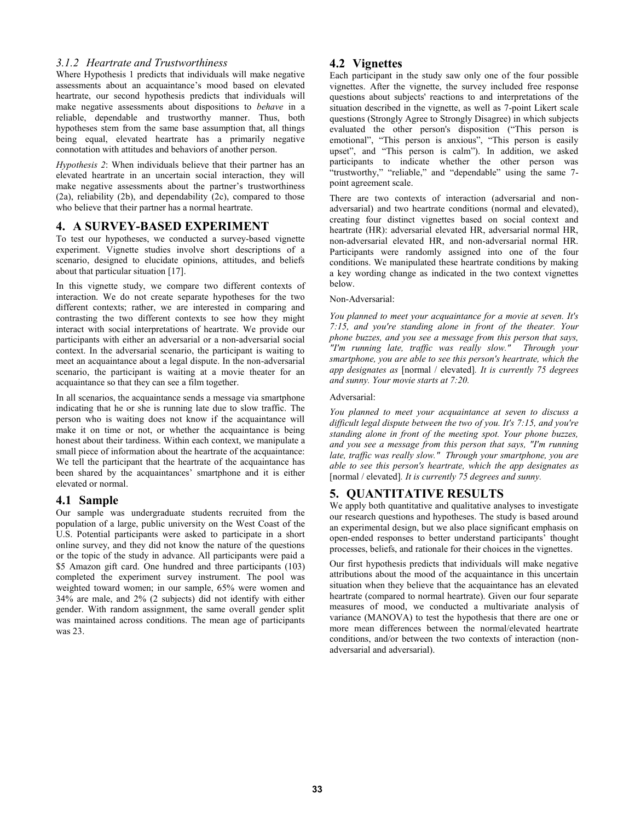# *3.1.2 Heartrate and Trustworthiness*

Where Hypothesis 1 predicts that individuals will make negative assessments about an acquaintance's mood based on elevated heartrate, our second hypothesis predicts that individuals will make negative assessments about dispositions to *behave* in a reliable, dependable and trustworthy manner. Thus, both hypotheses stem from the same base assumption that, all things being equal, elevated heartrate has a primarily negative connotation with attitudes and behaviors of another person.

*Hypothesis 2*: When individuals believe that their partner has an elevated heartrate in an uncertain social interaction, they will make negative assessments about the partner's trustworthiness (2a), reliability (2b), and dependability (2c), compared to those who believe that their partner has a normal heartrate.

### **4. A SURVEY-BASED EXPERIMENT**

To test our hypotheses, we conducted a survey-based vignette experiment. Vignette studies involve short descriptions of a scenario, designed to elucidate opinions, attitudes, and beliefs about that particular situation [17].

In this vignette study, we compare two different contexts of interaction. We do not create separate hypotheses for the two different contexts; rather, we are interested in comparing and contrasting the two different contexts to see how they might interact with social interpretations of heartrate. We provide our participants with either an adversarial or a non-adversarial social context. In the adversarial scenario, the participant is waiting to meet an acquaintance about a legal dispute. In the non-adversarial scenario, the participant is waiting at a movie theater for an acquaintance so that they can see a film together.

In all scenarios, the acquaintance sends a message via smartphone indicating that he or she is running late due to slow traffic. The person who is waiting does not know if the acquaintance will make it on time or not, or whether the acquaintance is being honest about their tardiness. Within each context, we manipulate a small piece of information about the heartrate of the acquaintance: We tell the participant that the heartrate of the acquaintance has been shared by the acquaintances' smartphone and it is either elevated or normal.

# **4.1 Sample**

Our sample was undergraduate students recruited from the population of a large, public university on the West Coast of the U.S. Potential participants were asked to participate in a short online survey, and they did not know the nature of the questions or the topic of the study in advance. All participants were paid a \$5 Amazon gift card. One hundred and three participants (103) completed the experiment survey instrument. The pool was weighted toward women; in our sample, 65% were women and 34% are male, and 2% (2 subjects) did not identify with either gender. With random assignment, the same overall gender split was maintained across conditions. The mean age of participants was 23.

# **4.2 Vignettes**

Each participant in the study saw only one of the four possible vignettes. After the vignette, the survey included free response questions about subjects' reactions to and interpretations of the situation described in the vignette, as well as 7-point Likert scale questions (Strongly Agree to Strongly Disagree) in which subjects evaluated the other person's disposition ("This person is emotional", "This person is anxious", "This person is easily upset", and "This person is calm"). In addition, we asked participants to indicate whether the other person was "trustworthy," "reliable," and "dependable" using the same 7point agreement scale.

There are two contexts of interaction (adversarial and nonadversarial) and two heartrate conditions (normal and elevated), creating four distinct vignettes based on social context and heartrate (HR): adversarial elevated HR, adversarial normal HR, non-adversarial elevated HR, and non-adversarial normal HR. Participants were randomly assigned into one of the four conditions. We manipulated these heartrate conditions by making a key wording change as indicated in the two context vignettes below.

#### Non-Adversarial:

*You planned to meet your acquaintance for a movie at seven. It's 7:15, and you're standing alone in front of the theater. Your phone buzzes, and you see a message from this person that says, "I'm running late, traffic was really slow." Through your smartphone, you are able to see this person's heartrate, which the app designates as* [normal / elevated]*. It is currently 75 degrees and sunny. Your movie starts at 7:20.* 

#### Adversarial:

*You planned to meet your acquaintance at seven to discuss a difficult legal dispute between the two of you. It's 7:15, and you're standing alone in front of the meeting spot. Your phone buzzes, and you see a message from this person that says, "I'm running late, traffic was really slow." Through your smartphone, you are able to see this person's heartrate, which the app designates as*  [normal / elevated]*. It is currently 75 degrees and sunny.* 

# **5. QUANTITATIVE RESULTS**

We apply both quantitative and qualitative analyses to investigate our research questions and hypotheses. The study is based around an experimental design, but we also place significant emphasis on open-ended responses to better understand participants' thought processes, beliefs, and rationale for their choices in the vignettes.

Our first hypothesis predicts that individuals will make negative attributions about the mood of the acquaintance in this uncertain situation when they believe that the acquaintance has an elevated heartrate (compared to normal heartrate). Given our four separate measures of mood, we conducted a multivariate analysis of variance (MANOVA) to test the hypothesis that there are one or more mean differences between the normal/elevated heartrate conditions, and/or between the two contexts of interaction (nonadversarial and adversarial).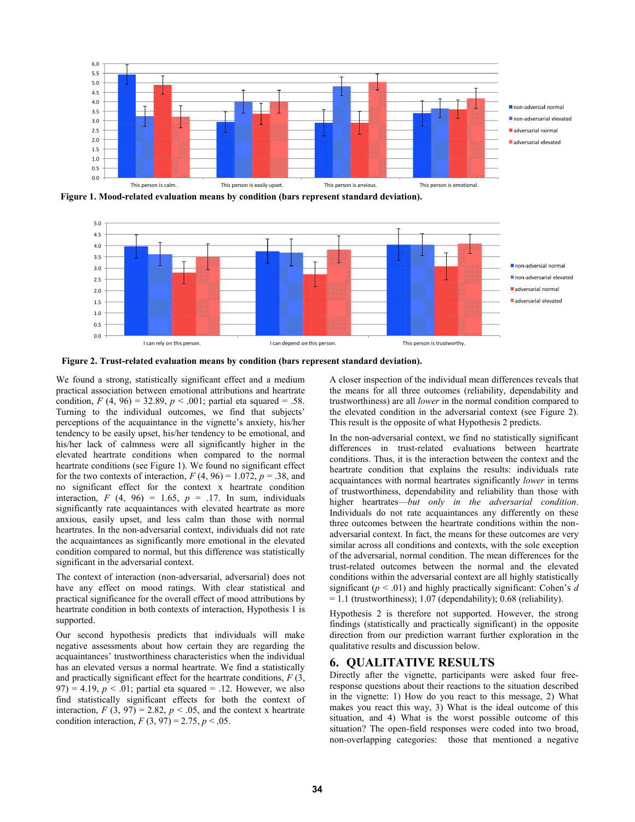

**Figure 1. Mood-related evaluation means by condition (bars represent standard deviation).** 



**Figure 2. Trust-related evaluation means by condition (bars represent standard deviation).**

We found a strong, statistically significant effect and a medium practical association between emotional attributions and heartrate condition,  $F(4, 96) = 32.89$ ,  $p < .001$ ; partial eta squared = .58. Turning to the individual outcomes, we find that subjects' perceptions of the acquaintance in the vignette's anxiety, his/her tendency to be easily upset, his/her tendency to be emotional, and his/her lack of calmness were all significantly higher in the elevated heartrate conditions when compared to the normal heartrate conditions (see Figure 1). We found no significant effect for the two contexts of interaction,  $F(4, 96) = 1.072$ ,  $p = .38$ , and no significant effect for the context x heartrate condition interaction,  $F(4, 96) = 1.65$ ,  $p = .17$ . In sum, individuals significantly rate acquaintances with elevated heartrate as more anxious, easily upset, and less calm than those with normal heartrates. In the non-adversarial context, individuals did not rate the acquaintances as significantly more emotional in the elevated condition compared to normal, but this difference was statistically significant in the adversarial context.

The context of interaction (non-adversarial, adversarial) does not have any effect on mood ratings. With clear statistical and practical significance for the overall effect of mood attributions by heartrate condition in both contexts of interaction, Hypothesis 1 is supported.

Our second hypothesis predicts that individuals will make negative assessments about how certain they are regarding the acquaintances' trustworthiness characteristics when the individual has an elevated versus a normal heartrate. We find a statistically and practically significant effect for the heartrate conditions, *F* (3, 97) = 4.19,  $p < .01$ ; partial eta squared = .12. However, we also find statistically significant effects for both the context of interaction,  $F(3, 97) = 2.82$ ,  $p < .05$ , and the context x heartrate condition interaction,  $F(3, 97) = 2.75$ ,  $p < .05$ .

A closer inspection of the individual mean differences reveals that the means for all three outcomes (reliability, dependability and trustworthiness) are all *lower* in the normal condition compared to the elevated condition in the adversarial context (see Figure 2). This result is the opposite of what Hypothesis 2 predicts.

In the non-adversarial context, we find no statistically significant differences in trust-related evaluations between heartrate conditions. Thus, it is the interaction between the context and the heartrate condition that explains the results: individuals rate acquaintances with normal heartrates significantly *lower* in terms of trustworthiness, dependability and reliability than those with higher heartrates—*but only in the adversarial condition*. Individuals do not rate acquaintances any differently on these three outcomes between the heartrate conditions within the nonadversarial context. In fact, the means for these outcomes are very similar across all conditions and contexts, with the sole exception of the adversarial, normal condition. The mean differences for the trust-related outcomes between the normal and the elevated conditions within the adversarial context are all highly statistically significant (*p* < .01) and highly practically significant: Cohen's *d* = 1.1 (trustworthiness); 1.07 (dependability); 0.68 (reliability).

Hypothesis 2 is therefore not supported. However, the strong findings (statistically and practically significant) in the opposite direction from our prediction warrant further exploration in the qualitative results and discussion below.

### **6. QUALITATIVE RESULTS**

Directly after the vignette, participants were asked four freeresponse questions about their reactions to the situation described in the vignette: 1) How do you react to this message, 2) What makes you react this way, 3) What is the ideal outcome of this situation, and 4) What is the worst possible outcome of this situation? The open-field responses were coded into two broad, non-overlapping categories: those that mentioned a negative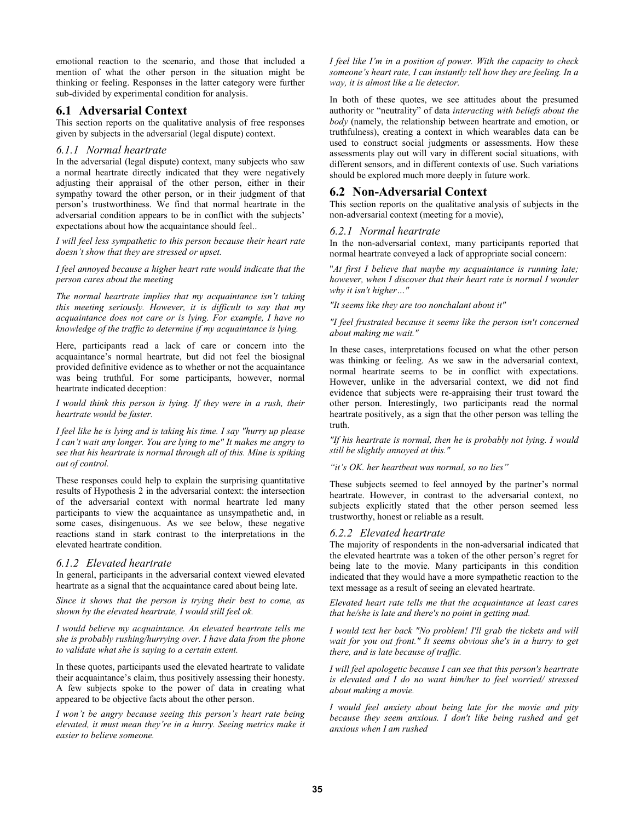emotional reaction to the scenario, and those that included a mention of what the other person in the situation might be thinking or feeling. Responses in the latter category were further sub-divided by experimental condition for analysis.

### **6.1 Adversarial Context**

This section reports on the qualitative analysis of free responses given by subjects in the adversarial (legal dispute) context.

#### *6.1.1 Normal heartrate*

In the adversarial (legal dispute) context, many subjects who saw a normal heartrate directly indicated that they were negatively adjusting their appraisal of the other person, either in their sympathy toward the other person, or in their judgment of that person's trustworthiness. We find that normal heartrate in the adversarial condition appears to be in conflict with the subjects' expectations about how the acquaintance should feel..

*I will feel less sympathetic to this person because their heart rate doesn't show that they are stressed or upset.*

*I feel annoyed because a higher heart rate would indicate that the person cares about the meeting* 

*The normal heartrate implies that my acquaintance isn't taking this meeting seriously. However, it is difficult to say that my acquaintance does not care or is lying. For example, I have no knowledge of the traffic to determine if my acquaintance is lying.* 

Here, participants read a lack of care or concern into the acquaintance's normal heartrate, but did not feel the biosignal provided definitive evidence as to whether or not the acquaintance was being truthful. For some participants, however, normal heartrate indicated deception:

*I would think this person is lying. If they were in a rush, their heartrate would be faster.* 

*I feel like he is lying and is taking his time. I say "hurry up please I can't wait any longer. You are lying to me" It makes me angry to see that his heartrate is normal through all of this. Mine is spiking out of control.* 

These responses could help to explain the surprising quantitative results of Hypothesis 2 in the adversarial context: the intersection of the adversarial context with normal heartrate led many participants to view the acquaintance as unsympathetic and, in some cases, disingenuous. As we see below, these negative reactions stand in stark contrast to the interpretations in the elevated heartrate condition.

### *6.1.2 Elevated heartrate*

In general, participants in the adversarial context viewed elevated heartrate as a signal that the acquaintance cared about being late.

*Since it shows that the person is trying their best to come, as shown by the elevated heartrate, I would still feel ok.* 

*I would believe my acquaintance. An elevated heartrate tells me she is probably rushing/hurrying over. I have data from the phone to validate what she is saying to a certain extent.* 

In these quotes, participants used the elevated heartrate to validate their acquaintance's claim, thus positively assessing their honesty. A few subjects spoke to the power of data in creating what appeared to be objective facts about the other person.

*I won't be angry because seeing this person's heart rate being elevated, it must mean they're in a hurry. Seeing metrics make it easier to believe someone.* 

*I feel like I'm in a position of power. With the capacity to check someone's heart rate, I can instantly tell how they are feeling. In a way, it is almost like a lie detector.* 

In both of these quotes, we see attitudes about the presumed authority or "neutrality" of data *interacting with beliefs about the body* (namely, the relationship between heartrate and emotion, or truthfulness), creating a context in which wearables data can be used to construct social judgments or assessments. How these assessments play out will vary in different social situations, with different sensors, and in different contexts of use. Such variations should be explored much more deeply in future work.

# **6.2 Non-Adversarial Context**

This section reports on the qualitative analysis of subjects in the non-adversarial context (meeting for a movie),

### *6.2.1 Normal heartrate*

In the non-adversarial context, many participants reported that normal heartrate conveyed a lack of appropriate social concern:

"*At first I believe that maybe my acquaintance is running late; however, when I discover that their heart rate is normal I wonder why it isn't higher…"*

*"It seems like they are too nonchalant about it"* 

#### *"I feel frustrated because it seems like the person isn't concerned about making me wait."*

In these cases, interpretations focused on what the other person was thinking or feeling. As we saw in the adversarial context, normal heartrate seems to be in conflict with expectations. However, unlike in the adversarial context, we did not find evidence that subjects were re-appraising their trust toward the other person. Interestingly, two participants read the normal heartrate positively, as a sign that the other person was telling the truth.

*"If his heartrate is normal, then he is probably not lying. I would still be slightly annoyed at this."* 

#### *"it's OK. her heartbeat was normal, so no lies"*

These subjects seemed to feel annoyed by the partner's normal heartrate. However, in contrast to the adversarial context, no subjects explicitly stated that the other person seemed less trustworthy, honest or reliable as a result.

### *6.2.2 Elevated heartrate*

The majority of respondents in the non-adversarial indicated that the elevated heartrate was a token of the other person's regret for being late to the movie. Many participants in this condition indicated that they would have a more sympathetic reaction to the text message as a result of seeing an elevated heartrate.

*Elevated heart rate tells me that the acquaintance at least cares that he/she is late and there's no point in getting mad.* 

*I would text her back "No problem! I'll grab the tickets and will wait for you out front." It seems obvious she's in a hurry to get there, and is late because of traffic.* 

*I will feel apologetic because I can see that this person's heartrate is elevated and I do no want him/her to feel worried/ stressed about making a movie.*

*I would feel anxiety about being late for the movie and pity because they seem anxious. I don't like being rushed and get anxious when I am rushed*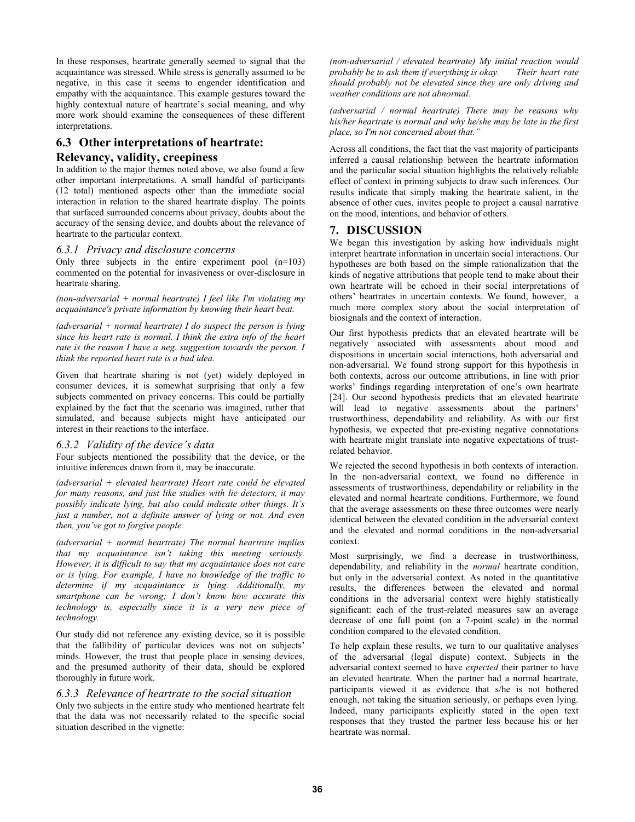In these responses, heartrate generally seemed to signal that the acquaintance was stressed. While stress is generally assumed to be negative, in this case it seems to engender identification and empathy with the acquaintance. This example gestures toward the highly contextual nature of heartrate's social meaning, and why more work should examine the consequences of these different interpretations.

# **6.3 Other interpretations of heartrate: Relevancy, validity, creepiness**

In addition to the major themes noted above, we also found a few other important interpretations. A small handful of participants (12 total) mentioned aspects other than the immediate social interaction in relation to the shared heartrate display. The points that surfaced surrounded concerns about privacy, doubts about the accuracy of the sensing device, and doubts about the relevance of heartrate to the particular context.

### *6.3.1 Privacy and disclosure concerns*

Only three subjects in the entire experiment pool  $(n=103)$ commented on the potential for invasiveness or over-disclosure in heartrate sharing.

*(non-adversarial + normal heartrate) I feel like I'm violating my acquaintance's private information by knowing their heart beat.* 

*(adversarial + normal heartrate) I do suspect the person is lying since his heart rate is normal. I think the extra info of the heart rate is the reason I have a neg. suggestion towards the person. I think the reported heart rate is a bad idea.* 

Given that heartrate sharing is not (yet) widely deployed in consumer devices, it is somewhat surprising that only a few subjects commented on privacy concerns. This could be partially explained by the fact that the scenario was imagined, rather that simulated, and because subjects might have anticipated our interest in their reactions to the interface.

### *6.3.2 Validity of the device's data*

Four subjects mentioned the possibility that the device, or the intuitive inferences drawn from it, may be inaccurate.

*(adversarial + elevated heartrate) Heart rate could be elevated for many reasons, and just like studies with lie detectors, it may possibly indicate lying, but also could indicate other things. It's just a number, not a definite answer of lying or not. And even then, you've got to forgive people.* 

*(adversarial + normal heartrate) The normal heartrate implies that my acquaintance isn't taking this meeting seriously. However, it is difficult to say that my acquaintance does not care or is lying. For example, I have no knowledge of the traffic to determine if my acquaintance is lying. Additionally, my smartphone can be wrong; I don't know how accurate this technology is, especially since it is a very new piece of technology.* 

Our study did not reference any existing device, so it is possible that the fallibility of particular devices was not on subjects' minds. However, the trust that people place in sensing devices, and the presumed authority of their data, should be explored thoroughly in future work.

### *6.3.3 Relevance of heartrate to the social situation*

Only two subjects in the entire study who mentioned heartrate felt that the data was not necessarily related to the specific social situation described in the vignette:

*(non-adversarial / elevated heartrate) My initial reaction would probably be to ask them if everything is okay. Their heart rate should probably not be elevated since they are only driving and weather conditions are not abnormal.* 

*(adversarial / normal heartrate) There may be reasons why his/her heartrate is normal and why he/she may be late in the first place, so I'm not concerned about that."*

Across all conditions, the fact that the vast majority of participants inferred a causal relationship between the heartrate information and the particular social situation highlights the relatively reliable effect of context in priming subjects to draw such inferences. Our results indicate that simply making the heartrate salient, in the absence of other cues, invites people to project a causal narrative on the mood, intentions, and behavior of others.

# **7. DISCUSSION**

We began this investigation by asking how individuals might interpret heartrate information in uncertain social interactions. Our hypotheses are both based on the simple rationalization that the kinds of negative attributions that people tend to make about their own heartrate will be echoed in their social interpretations of others' heartrates in uncertain contexts. We found, however, a much more complex story about the social interpretation of biosignals and the context of interaction.

Our first hypothesis predicts that an elevated heartrate will be negatively associated with assessments about mood and dispositions in uncertain social interactions, both adversarial and non-adversarial. We found strong support for this hypothesis in both contexts, across our outcome attributions, in line with prior works' findings regarding interpretation of one's own heartrate [24]. Our second hypothesis predicts that an elevated heartrate will lead to negative assessments about the partners' trustworthiness, dependability and reliability. As with our first hypothesis, we expected that pre-existing negative connotations with heartrate might translate into negative expectations of trustrelated behavior.

We rejected the second hypothesis in both contexts of interaction. In the non-adversarial context, we found no difference in assessments of trustworthiness, dependability or reliability in the elevated and normal heartrate conditions. Furthermore, we found that the average assessments on these three outcomes were nearly identical between the elevated condition in the adversarial context and the elevated and normal conditions in the non-adversarial context.

Most surprisingly, we find a decrease in trustworthiness, dependability, and reliability in the *normal* heartrate condition, but only in the adversarial context. As noted in the quantitative results, the differences between the elevated and normal conditions in the adversarial context were highly statistically significant: each of the trust-related measures saw an average decrease of one full point (on a 7-point scale) in the normal condition compared to the elevated condition.

To help explain these results, we turn to our qualitative analyses of the adversarial (legal dispute) context. Subjects in the adversarial context seemed to have *expected* their partner to have an elevated heartrate. When the partner had a normal heartrate, participants viewed it as evidence that s/he is not bothered enough, not taking the situation seriously, or perhaps even lying. Indeed, many participants explicitly stated in the open text responses that they trusted the partner less because his or her heartrate was normal.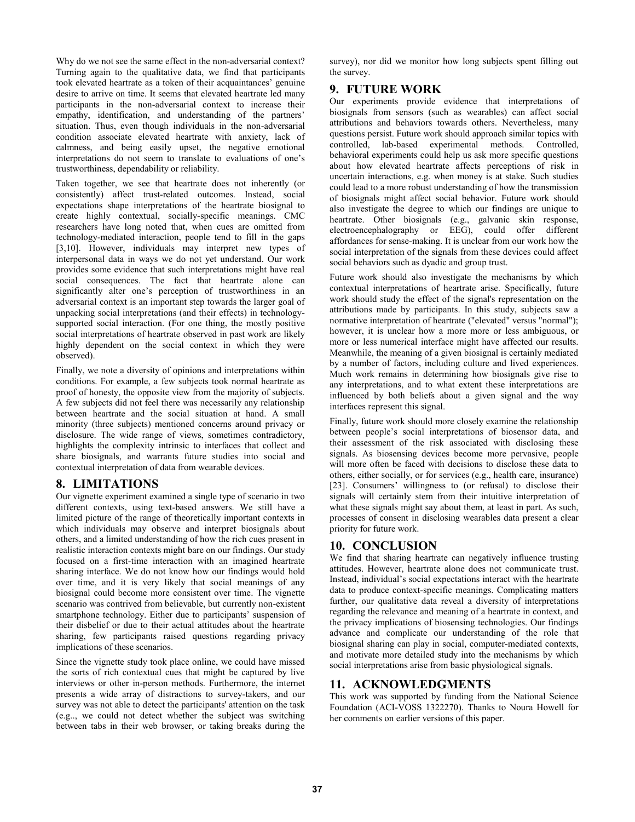Why do we not see the same effect in the non-adversarial context? Turning again to the qualitative data, we find that participants took elevated heartrate as a token of their acquaintances' genuine desire to arrive on time. It seems that elevated heartrate led many participants in the non-adversarial context to increase their empathy, identification, and understanding of the partners' situation. Thus, even though individuals in the non-adversarial condition associate elevated heartrate with anxiety, lack of calmness, and being easily upset, the negative emotional interpretations do not seem to translate to evaluations of one's trustworthiness, dependability or reliability.

Taken together, we see that heartrate does not inherently (or consistently) affect trust-related outcomes. Instead, social expectations shape interpretations of the heartrate biosignal to create highly contextual, socially-specific meanings. CMC researchers have long noted that, when cues are omitted from technology-mediated interaction, people tend to fill in the gaps [3,10]. However, individuals may interpret new types of interpersonal data in ways we do not yet understand. Our work provides some evidence that such interpretations might have real social consequences. The fact that heartrate alone can significantly alter one's perception of trustworthiness in an adversarial context is an important step towards the larger goal of unpacking social interpretations (and their effects) in technologysupported social interaction. (For one thing, the mostly positive social interpretations of heartrate observed in past work are likely highly dependent on the social context in which they were observed).

Finally, we note a diversity of opinions and interpretations within conditions. For example, a few subjects took normal heartrate as proof of honesty, the opposite view from the majority of subjects. A few subjects did not feel there was necessarily any relationship between heartrate and the social situation at hand. A small minority (three subjects) mentioned concerns around privacy or disclosure. The wide range of views, sometimes contradictory, highlights the complexity intrinsic to interfaces that collect and share biosignals, and warrants future studies into social and contextual interpretation of data from wearable devices.

# **8. LIMITATIONS**

Our vignette experiment examined a single type of scenario in two different contexts, using text-based answers. We still have a limited picture of the range of theoretically important contexts in which individuals may observe and interpret biosignals about others, and a limited understanding of how the rich cues present in realistic interaction contexts might bare on our findings. Our study focused on a first-time interaction with an imagined heartrate sharing interface. We do not know how our findings would hold over time, and it is very likely that social meanings of any biosignal could become more consistent over time. The vignette scenario was contrived from believable, but currently non-existent smartphone technology. Either due to participants' suspension of their disbelief or due to their actual attitudes about the heartrate sharing, few participants raised questions regarding privacy implications of these scenarios.

Since the vignette study took place online, we could have missed the sorts of rich contextual cues that might be captured by live interviews or other in-person methods. Furthermore, the internet presents a wide array of distractions to survey-takers, and our survey was not able to detect the participants' attention on the task (e.g.., we could not detect whether the subject was switching between tabs in their web browser, or taking breaks during the

survey), nor did we monitor how long subjects spent filling out the survey.

# **9. FUTURE WORK**

Our experiments provide evidence that interpretations of biosignals from sensors (such as wearables) can affect social attributions and behaviors towards others. Nevertheless, many questions persist. Future work should approach similar topics with controlled, lab-based experimental methods. Controlled, behavioral experiments could help us ask more specific questions about how elevated heartrate affects perceptions of risk in uncertain interactions, e.g. when money is at stake. Such studies could lead to a more robust understanding of how the transmission of biosignals might affect social behavior. Future work should also investigate the degree to which our findings are unique to heartrate. Other biosignals (e.g., galvanic skin response, electroencephalography or EEG), could offer different affordances for sense-making. It is unclear from our work how the social interpretation of the signals from these devices could affect social behaviors such as dyadic and group trust.

Future work should also investigate the mechanisms by which contextual interpretations of heartrate arise. Specifically, future work should study the effect of the signal's representation on the attributions made by participants. In this study, subjects saw a normative interpretation of heartrate ("elevated" versus "normal"); however, it is unclear how a more more or less ambiguous, or more or less numerical interface might have affected our results. Meanwhile, the meaning of a given biosignal is certainly mediated by a number of factors, including culture and lived experiences. Much work remains in determining how biosignals give rise to any interpretations, and to what extent these interpretations are influenced by both beliefs about a given signal and the way interfaces represent this signal.

Finally, future work should more closely examine the relationship between people's social interpretations of biosensor data, and their assessment of the risk associated with disclosing these signals. As biosensing devices become more pervasive, people will more often be faced with decisions to disclose these data to others, either socially, or for services (e.g., health care, insurance) [23]. Consumers' willingness to (or refusal) to disclose their signals will certainly stem from their intuitive interpretation of what these signals might say about them, at least in part. As such, processes of consent in disclosing wearables data present a clear priority for future work.

# **10. CONCLUSION**

We find that sharing heartrate can negatively influence trusting attitudes. However, heartrate alone does not communicate trust. Instead, individual's social expectations interact with the heartrate data to produce context-specific meanings. Complicating matters further, our qualitative data reveal a diversity of interpretations regarding the relevance and meaning of a heartrate in context, and the privacy implications of biosensing technologies. Our findings advance and complicate our understanding of the role that biosignal sharing can play in social, computer-mediated contexts, and motivate more detailed study into the mechanisms by which social interpretations arise from basic physiological signals.

# **11. ACKNOWLEDGMENTS**

This work was supported by funding from the National Science Foundation (ACI-VOSS 1322270). Thanks to Noura Howell for her comments on earlier versions of this paper.